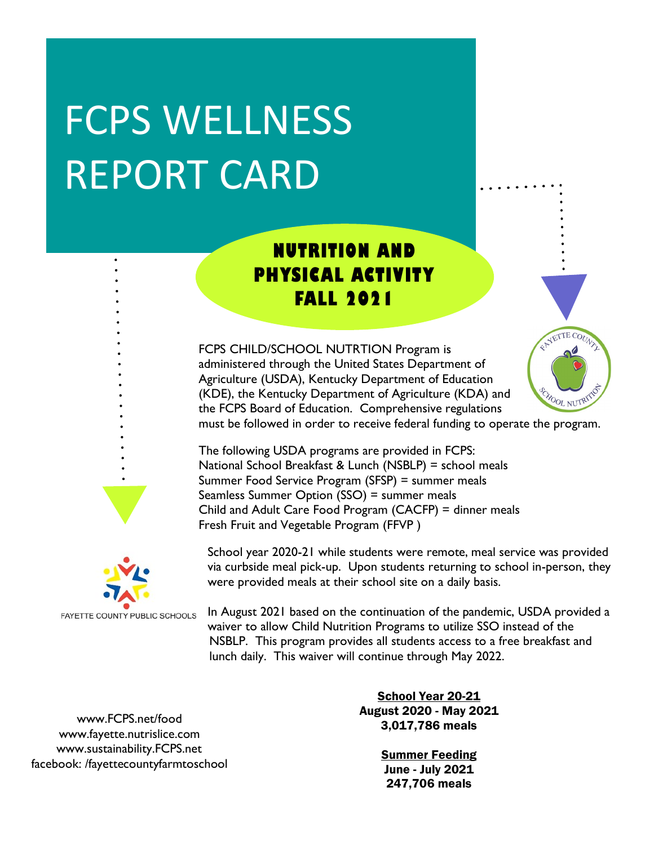# FCPS WELLNESS REPORT CARD

## **NUTRITION AND PHYSICAL ACTIVITY FALL 2021**

FCPS CHILD/SCHOOL NUTRTION Program is administered through the United States Department of Agriculture (USDA), Kentucky Department of Education (KDE), the Kentucky Department of Agriculture (KDA) and the FCPS Board of Education. Comprehensive regulations must be followed in order to receive federal funding to operate the program.



The following USDA programs are provided in FCPS: National School Breakfast & Lunch (NSBLP) = school meals Summer Food Service Program (SFSP) = summer meals Seamless Summer Option (SSO) = summer meals Child and Adult Care Food Program (CACFP) = dinner meals Fresh Fruit and Vegetable Program (FFVP )



FAYETTE COUNTY PUBLIC SCHOOLS

School year 2020-21 while students were remote, meal service was provided via curbside meal pick-up. Upon students returning to school in-person, they were provided meals at their school site on a daily basis.

In August 2021 based on the continuation of the pandemic, USDA provided a waiver to allow Child Nutrition Programs to utilize SSO instead of the NSBLP. This program provides all students access to a free breakfast and lunch daily. This waiver will continue through May 2022.

www.FCPS.net/food www.fayette.nutrislice.com www.sustainability.FCPS.net facebook: /fayettecountyfarmtoschool

School Year 20-21 August 2020 - May 2021 3,017,786 meals

> Summer Feeding June - July 2021 247,706 meals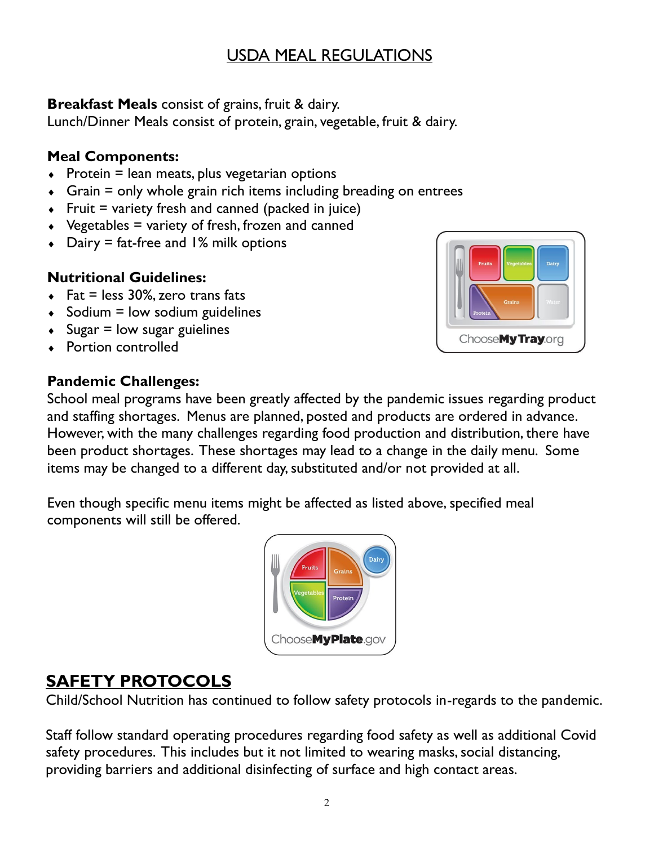### USDA MEAL REGULATIONS

#### **Breakfast Meals** consist of grains, fruit & dairy.

Lunch/Dinner Meals consist of protein, grain, vegetable, fruit & dairy.

#### **Meal Components:**

- $\triangleleft$  Protein = lean meats, plus vegetarian options
- $\triangleleft$  Grain = only whole grain rich items including breading on entrees
- Fruit = variety fresh and canned (packed in juice)
- $\rightarrow$  Vegetables = variety of fresh, frozen and canned
- $\bullet$  Dairy = fat-free and 1% milk options

#### **Nutritional Guidelines:**

- $\triangleleft$  Fat = less 30%, zero trans fats
- $\triangleleft$  Sodium = low sodium guidelines
- $\triangleleft$  Sugar = low sugar guielines
- ◆ Portion controlled

#### **Pandemic Challenges:**

ChooseMyTray.org

School meal programs have been greatly affected by the pandemic issues regarding product and staffing shortages. Menus are planned, posted and products are ordered in advance. However, with the many challenges regarding food production and distribution, there have been product shortages. These shortages may lead to a change in the daily menu. Some items may be changed to a different day, substituted and/or not provided at all.

Even though specific menu items might be affected as listed above, specified meal components will still be offered.



## **SAFETY PROTOCOLS**

Child/School Nutrition has continued to follow safety protocols in-regards to the pandemic.

Staff follow standard operating procedures regarding food safety as well as additional Covid safety procedures. This includes but it not limited to wearing masks, social distancing, providing barriers and additional disinfecting of surface and high contact areas.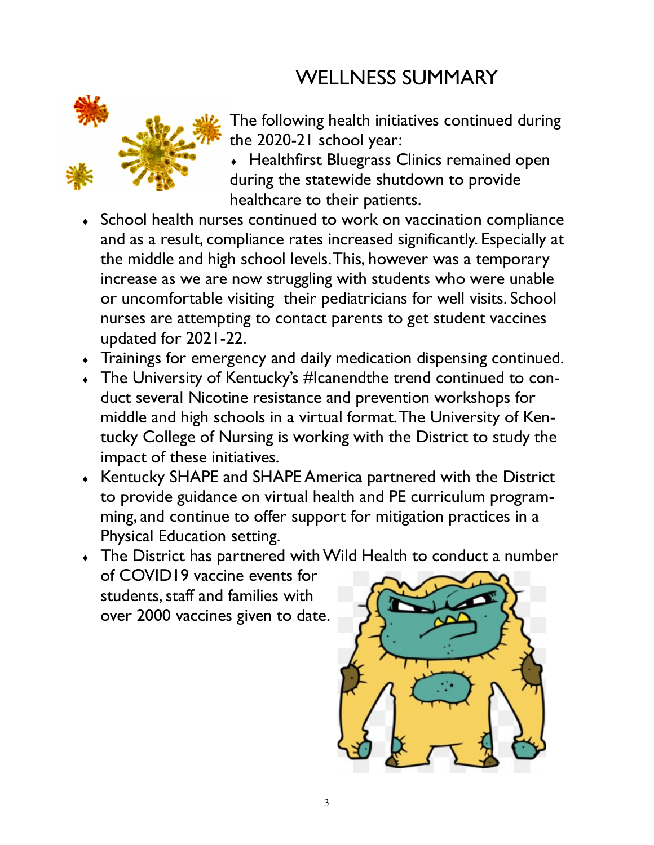# WELLNESS SUMMARY



The following health initiatives continued during the 2020-21 school year:

 Healthfirst Bluegrass Clinics remained open during the statewide shutdown to provide healthcare to their patients.

- School health nurses continued to work on vaccination compliance and as a result, compliance rates increased significantly. Especially at the middle and high school levels. This, however was a temporary increase as we are now struggling with students who were unable or uncomfortable visiting their pediatricians for well visits. School nurses are attempting to contact parents to get student vaccines updated for 2021-22.
- Trainings for emergency and daily medication dispensing continued.
- The University of Kentucky's #Icanendthe trend continued to conduct several Nicotine resistance and prevention workshops for middle and high schools in a virtual format. The University of Kentucky College of Nursing is working with the District to study the impact of these initiatives.
- Kentucky SHAPE and SHAPE America partnered with the District to provide guidance on virtual health and PE curriculum programming, and continue to offer support for mitigation practices in a Physical Education setting.
- The District has partnered with Wild Health to conduct a number of COVID19 vaccine events for students, staff and families with over 2000 vaccines given to date.